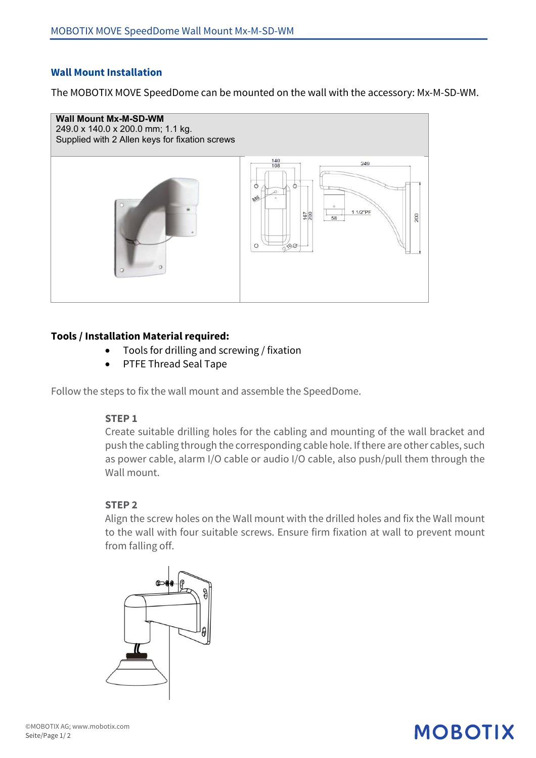## **Wall Mount Installation**

The MOBOTIX MOVE SpeedDome can be mounted on the wall with the accessory: Mx-M-SD-WM.



## **Tools / Installation Material required:**

- Tools for drilling and screwing / fixation
- PTFE Thread Seal Tape

Follow the steps to fix the wall mount and assemble the SpeedDome.

#### **STEP 1**

Create suitable drilling holes for the cabling and mounting of the wall bracket and push the cabling through the corresponding cable hole. If there are other cables, such as power cable, alarm I/O cable or audio I/O cable, also push/pull them through the Wall mount.

### **STEP 2**

Align the screw holes on the Wall mount with the drilled holes and fix the Wall mount to the wall with four suitable screws. Ensure firm fixation at wall to prevent mount from falling off.



## **MOBOTIX**